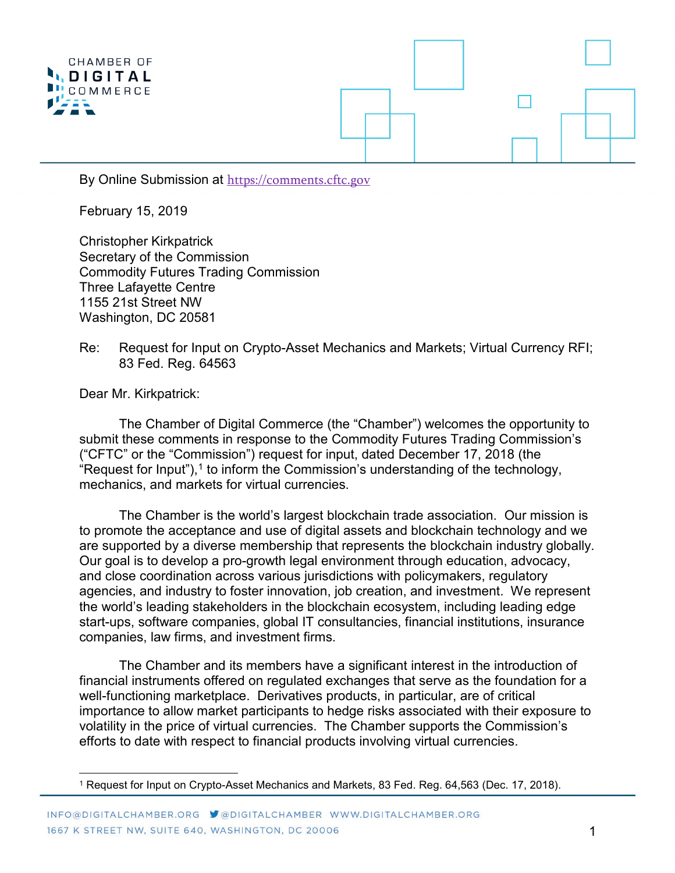

By Online Submission at [https://comments.cftc.gov](https://comments.cftc.gov/)

February 15, 2019

Christopher Kirkpatrick Secretary of the Commission Commodity Futures Trading Commission Three Lafayette Centre 1155 21st Street NW Washington, DC 20581

Re: Request for Input on Crypto-Asset Mechanics and Markets; Virtual Currency RFI; 83 Fed. Reg. 64563

Dear Mr. Kirkpatrick:

The Chamber of Digital Commerce (the "Chamber") welcomes the opportunity to submit these comments in response to the Commodity Futures Trading Commission's ("CFTC" or the "Commission") request for input, dated December 17, 2018 (the "Request for Input"), $^1$  $^1$  to inform the Commission's understanding of the technology, mechanics, and markets for virtual currencies.

The Chamber is the world's largest blockchain trade association. Our mission is to promote the acceptance and use of digital assets and blockchain technology and we are supported by a diverse membership that represents the blockchain industry globally. Our goal is to develop a pro-growth legal environment through education, advocacy, and close coordination across various jurisdictions with policymakers, regulatory agencies, and industry to foster innovation, job creation, and investment. We represent the world's leading stakeholders in the blockchain ecosystem, including leading edge start-ups, software companies, global IT consultancies, financial institutions, insurance companies, law firms, and investment firms.

The Chamber and its members have a significant interest in the introduction of financial instruments offered on regulated exchanges that serve as the foundation for a well-functioning marketplace. Derivatives products, in particular, are of critical importance to allow market participants to hedge risks associated with their exposure to volatility in the price of virtual currencies. The Chamber supports the Commission's efforts to date with respect to financial products involving virtual currencies.

<span id="page-0-0"></span> <sup>1</sup> Request for Input on Crypto-Asset Mechanics and Markets, 83 Fed. Reg. 64,563 (Dec. 17, 2018).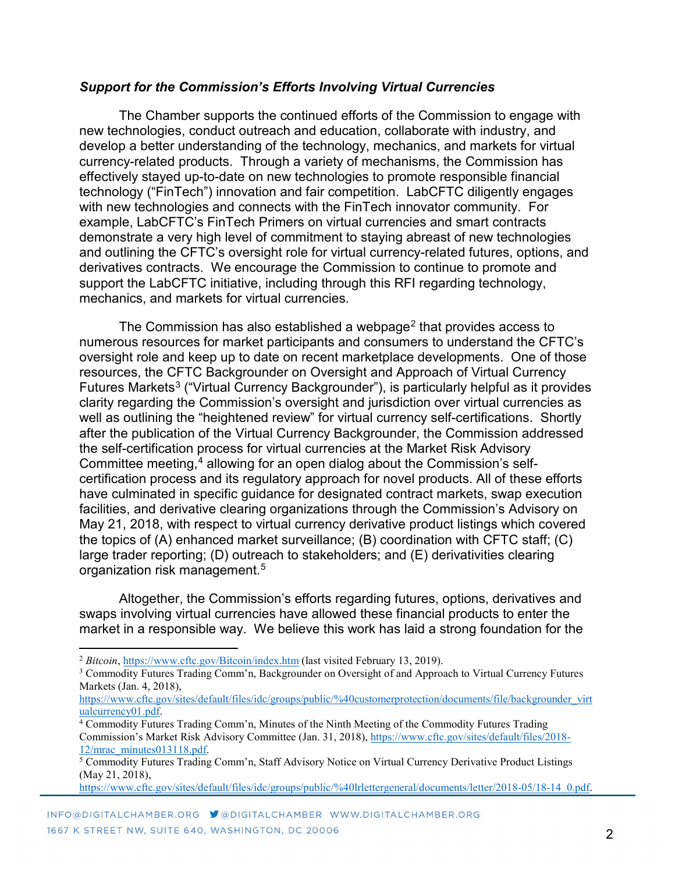## *Support for the Commission's Efforts Involving Virtual Currencies*

The Chamber supports the continued efforts of the Commission to engage with new technologies, conduct outreach and education, collaborate with industry, and develop a better understanding of the technology, mechanics, and markets for virtual currency-related products. Through a variety of mechanisms, the Commission has effectively stayed up-to-date on new technologies to promote responsible financial technology ("FinTech") innovation and fair competition. LabCFTC diligently engages with new technologies and connects with the FinTech innovator community. For example, LabCFTC's FinTech Primers on virtual currencies and smart contracts demonstrate a very high level of commitment to staying abreast of new technologies and outlining the CFTC's oversight role for virtual currency-related futures, options, and derivatives contracts. We encourage the Commission to continue to promote and support the LabCFTC initiative, including through this RFI regarding technology, mechanics, and markets for virtual currencies.

The Commission has also established a webpage<sup>[2](#page-1-0)</sup> that provides access to numerous resources for market participants and consumers to understand the CFTC's oversight role and keep up to date on recent marketplace developments. One of those resources, the CFTC Backgrounder on Oversight and Approach of Virtual Currency Futures Markets<sup>[3](#page-1-1)</sup> ("Virtual Currency Backgrounder"), is particularly helpful as it provides clarity regarding the Commission's oversight and jurisdiction over virtual currencies as well as outlining the "heightened review" for virtual currency self-certifications. Shortly after the publication of the Virtual Currency Backgrounder, the Commission addressed the self-certification process for virtual currencies at the Market Risk Advisory Committee meeting, [4](#page-1-2) allowing for an open dialog about the Commission's selfcertification process and its regulatory approach for novel products. All of these efforts have culminated in specific guidance for designated contract markets, swap execution facilities, and derivative clearing organizations through the Commission's Advisory on May 21, 2018, with respect to virtual currency derivative product listings which covered the topics of (A) enhanced market surveillance; (B) coordination with CFTC staff; (C) large trader reporting; (D) outreach to stakeholders; and (E) derivativities clearing organization risk management. [5](#page-1-3)

Altogether, the Commission's efforts regarding futures, options, derivatives and swaps involving virtual currencies have allowed these financial products to enter the market in a responsible way. We believe this work has laid a strong foundation for the

 $\overline{a}$ 

<span id="page-1-0"></span><sup>2</sup> *Bitcoin*[, https://www.cftc.gov/Bitcoin/index.htm](https://www.cftc.gov/Bitcoin/index.htm) (last visited February 13, 2019).

<span id="page-1-1"></span><sup>&</sup>lt;sup>3</sup> Commodity Futures Trading Comm'n, Backgrounder on Oversight of and Approach to Virtual Currency Futures Markets (Jan. 4, 2018),

[https://www.cftc.gov/sites/default/files/idc/groups/public/%40customerprotection/documents/file/backgrounder\\_virt](https://www.cftc.gov/sites/default/files/idc/groups/public/%40customerprotection/documents/file/backgrounder_virtualcurrency01.pdf) [ualcurrency01.pdf.](https://www.cftc.gov/sites/default/files/idc/groups/public/%40customerprotection/documents/file/backgrounder_virtualcurrency01.pdf)

<span id="page-1-2"></span><sup>4</sup> Commodity Futures Trading Comm'n, Minutes of the Ninth Meeting of the Commodity Futures Trading Commission's Market Risk Advisory Committee (Jan. 31, 2018), [https://www.cftc.gov/sites/default/files/2018-](https://www.cftc.gov/sites/default/files/2018-12/mrac_minutes013118.pdf) [12/mrac\\_minutes013118.pdf.](https://www.cftc.gov/sites/default/files/2018-12/mrac_minutes013118.pdf)

<span id="page-1-3"></span><sup>5</sup> Commodity Futures Trading Comm'n, Staff Advisory Notice on Virtual Currency Derivative Product Listings (May 21, 2018),

[https://www.cftc.gov/sites/default/files/idc/groups/public/%40lrlettergeneral/documents/letter/2018-05/18-14\\_0.pdf.](https://www.cftc.gov/sites/default/files/idc/groups/public/%40lrlettergeneral/documents/letter/2018-05/18-14_0.pdf)